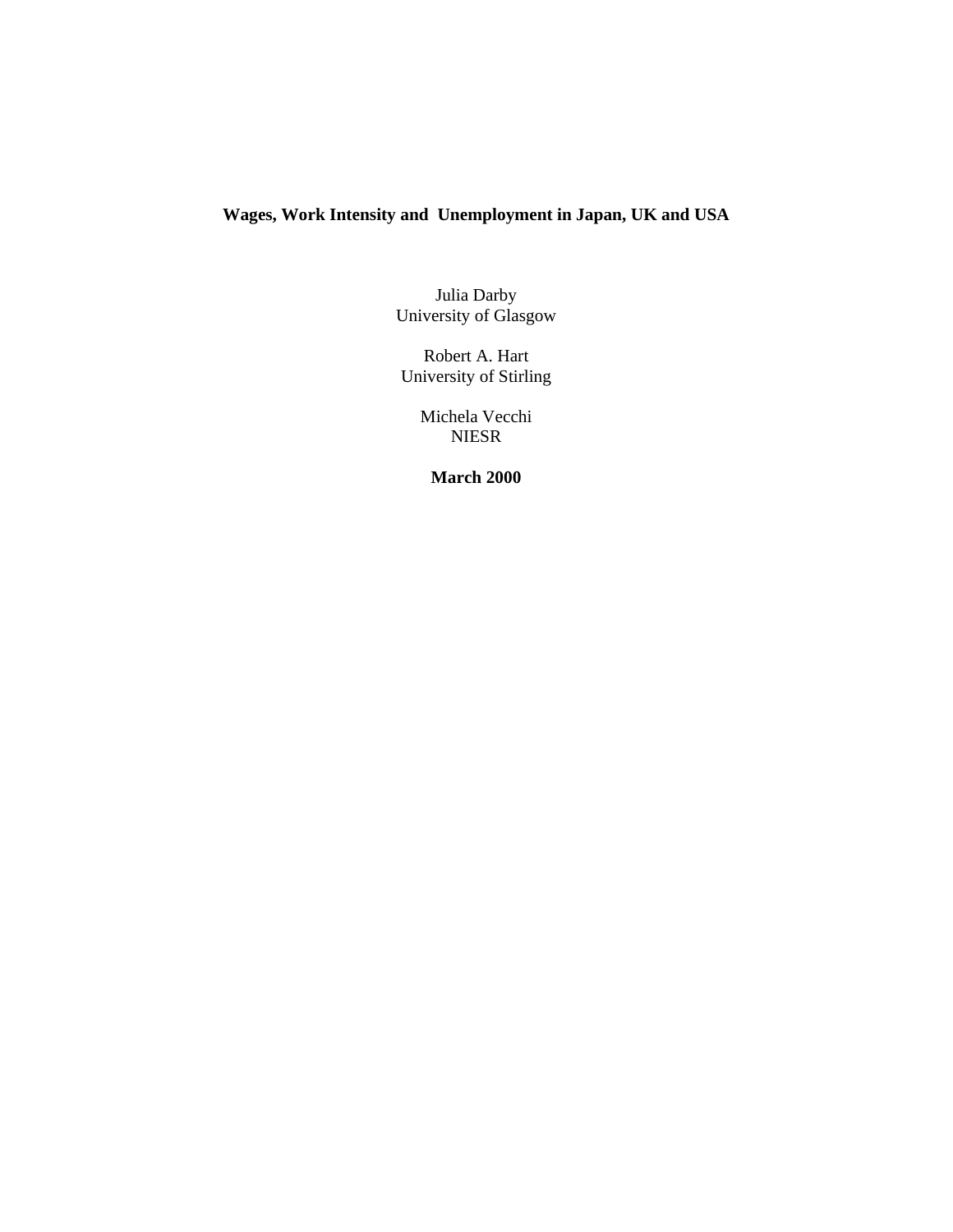## **Wages, Work Intensity and Unemployment in Japan, UK and USA**

Julia Darby University of Glasgow

Robert A. Hart University of Stirling

> Michela Vecchi NIESR

**March 2000**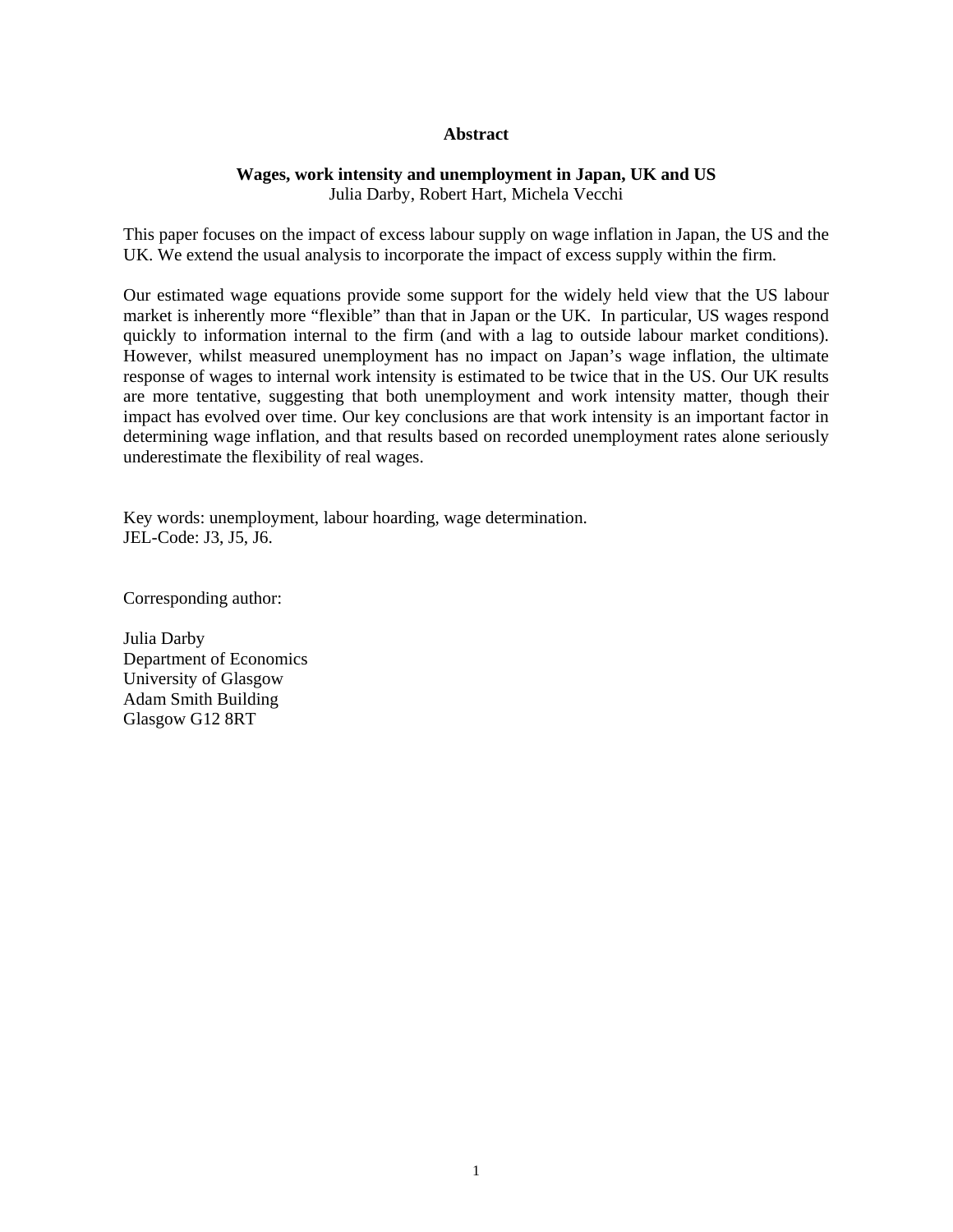## **Abstract**

# **Wages, work intensity and unemployment in Japan, UK and US**

Julia Darby, Robert Hart, Michela Vecchi

This paper focuses on the impact of excess labour supply on wage inflation in Japan, the US and the UK. We extend the usual analysis to incorporate the impact of excess supply within the firm.

Our estimated wage equations provide some support for the widely held view that the US labour market is inherently more "flexible" than that in Japan or the UK. In particular, US wages respond quickly to information internal to the firm (and with a lag to outside labour market conditions). However, whilst measured unemployment has no impact on Japan's wage inflation, the ultimate response of wages to internal work intensity is estimated to be twice that in the US. Our UK results are more tentative, suggesting that both unemployment and work intensity matter, though their impact has evolved over time. Our key conclusions are that work intensity is an important factor in determining wage inflation, and that results based on recorded unemployment rates alone seriously underestimate the flexibility of real wages.

Key words: unemployment, labour hoarding, wage determination. JEL-Code: J3, J5, J6.

Corresponding author:

Julia Darby Department of Economics University of Glasgow Adam Smith Building Glasgow G12 8RT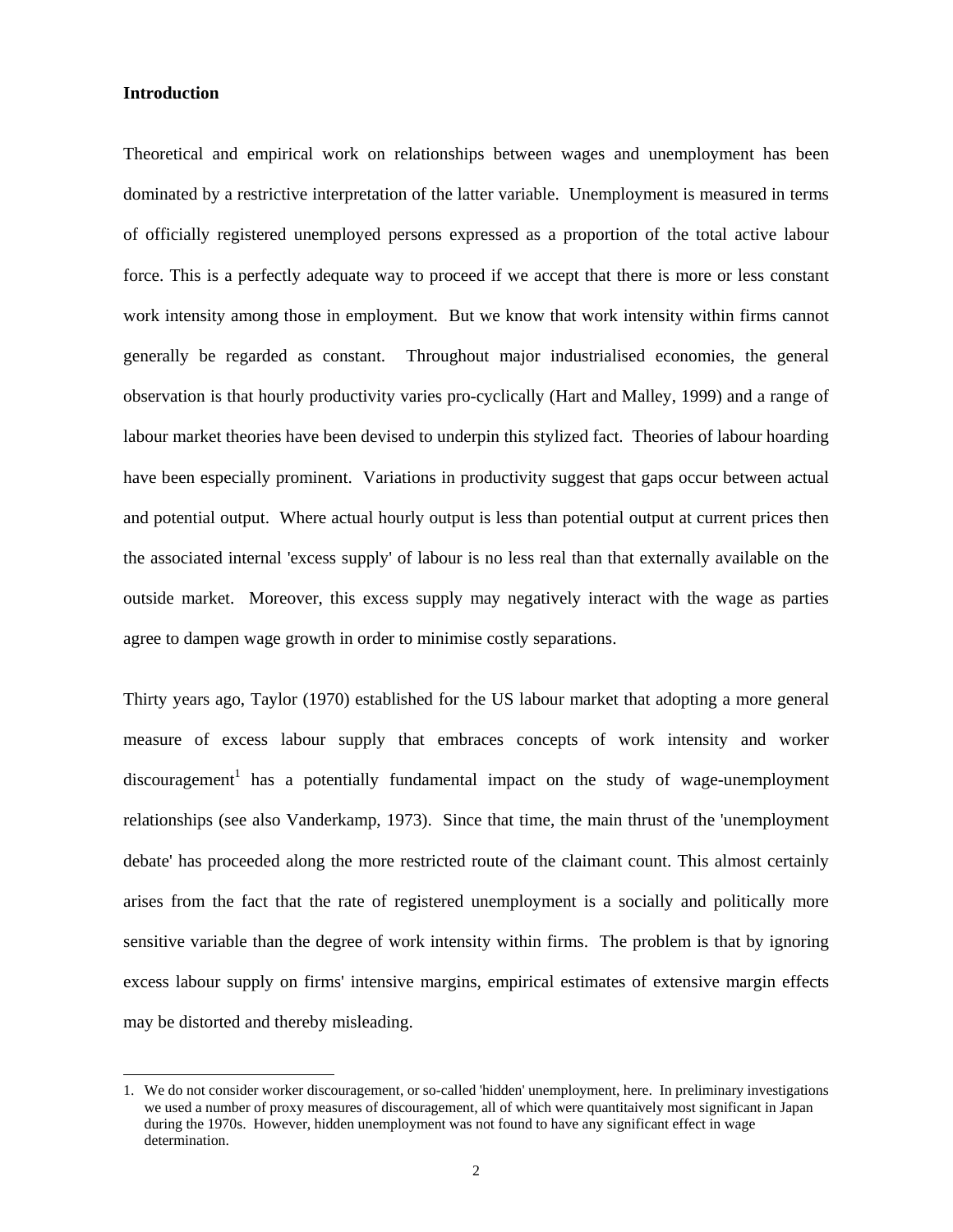## **Introduction**

l

Theoretical and empirical work on relationships between wages and unemployment has been dominated by a restrictive interpretation of the latter variable. Unemployment is measured in terms of officially registered unemployed persons expressed as a proportion of the total active labour force. This is a perfectly adequate way to proceed if we accept that there is more or less constant work intensity among those in employment. But we know that work intensity within firms cannot generally be regarded as constant. Throughout major industrialised economies, the general observation is that hourly productivity varies pro-cyclically (Hart and Malley, 1999) and a range of labour market theories have been devised to underpin this stylized fact. Theories of labour hoarding have been especially prominent. Variations in productivity suggest that gaps occur between actual and potential output. Where actual hourly output is less than potential output at current prices then the associated internal 'excess supply' of labour is no less real than that externally available on the outside market. Moreover, this excess supply may negatively interact with the wage as parties agree to dampen wage growth in order to minimise costly separations.

Thirty years ago, Taylor (1970) established for the US labour market that adopting a more general measure of excess labour supply that embraces concepts of work intensity and worker discouragement<sup>1</sup> has a potentially fundamental impact on the study of wage-unemployment relationships (see also Vanderkamp, 1973). Since that time, the main thrust of the 'unemployment debate' has proceeded along the more restricted route of the claimant count. This almost certainly arises from the fact that the rate of registered unemployment is a socially and politically more sensitive variable than the degree of work intensity within firms. The problem is that by ignoring excess labour supply on firms' intensive margins, empirical estimates of extensive margin effects may be distorted and thereby misleading.

<sup>1.</sup> We do not consider worker discouragement, or so-called 'hidden' unemployment, here. In preliminary investigations we used a number of proxy measures of discouragement, all of which were quantitaively most significant in Japan during the 1970s. However, hidden unemployment was not found to have any significant effect in wage determination.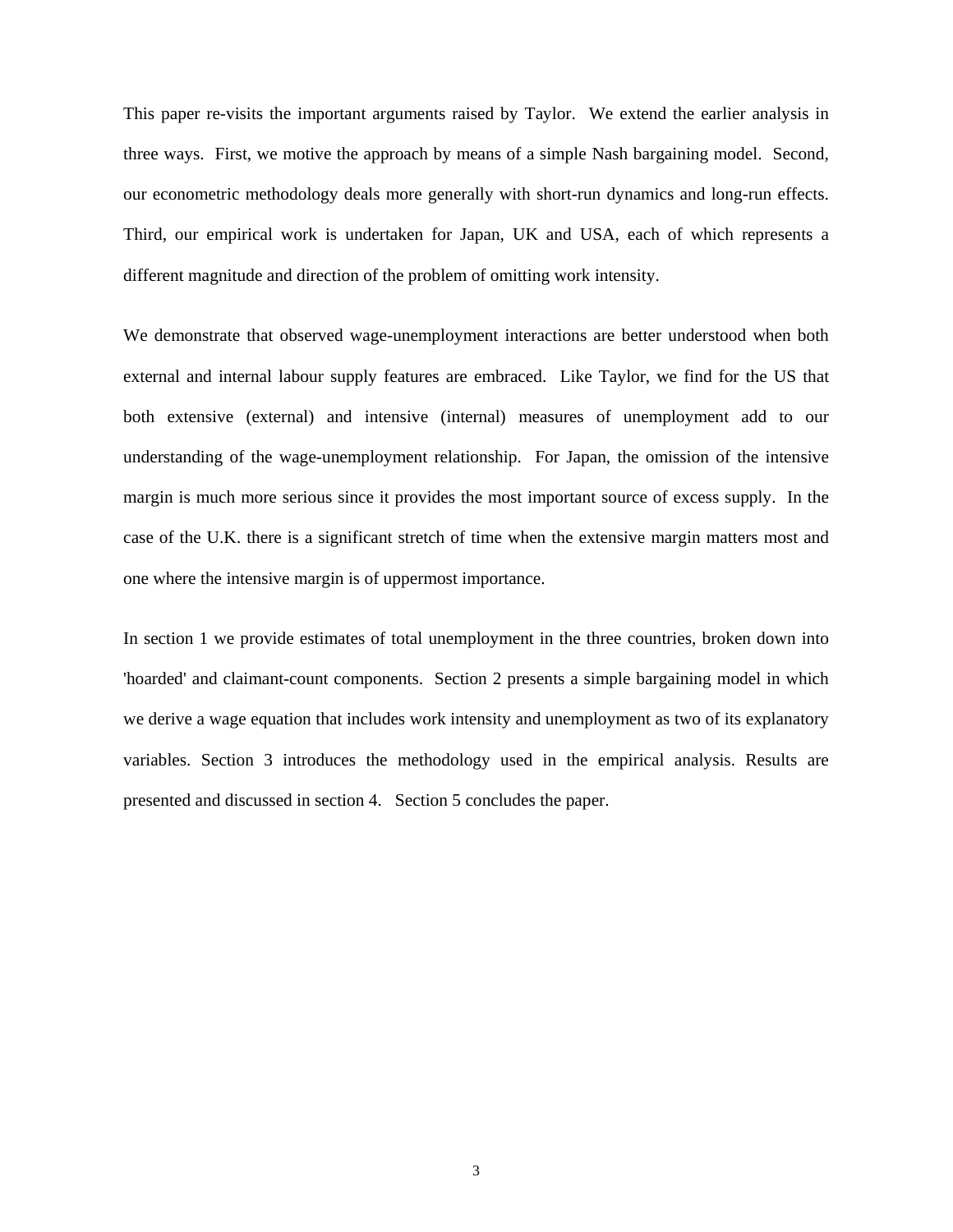This paper re-visits the important arguments raised by Taylor. We extend the earlier analysis in three ways. First, we motive the approach by means of a simple Nash bargaining model. Second, our econometric methodology deals more generally with short-run dynamics and long-run effects. Third, our empirical work is undertaken for Japan, UK and USA, each of which represents a different magnitude and direction of the problem of omitting work intensity.

We demonstrate that observed wage-unemployment interactions are better understood when both external and internal labour supply features are embraced. Like Taylor, we find for the US that both extensive (external) and intensive (internal) measures of unemployment add to our understanding of the wage-unemployment relationship. For Japan, the omission of the intensive margin is much more serious since it provides the most important source of excess supply. In the case of the U.K. there is a significant stretch of time when the extensive margin matters most and one where the intensive margin is of uppermost importance.

In section 1 we provide estimates of total unemployment in the three countries, broken down into 'hoarded' and claimant-count components. Section 2 presents a simple bargaining model in which we derive a wage equation that includes work intensity and unemployment as two of its explanatory variables. Section 3 introduces the methodology used in the empirical analysis. Results are presented and discussed in section 4. Section 5 concludes the paper.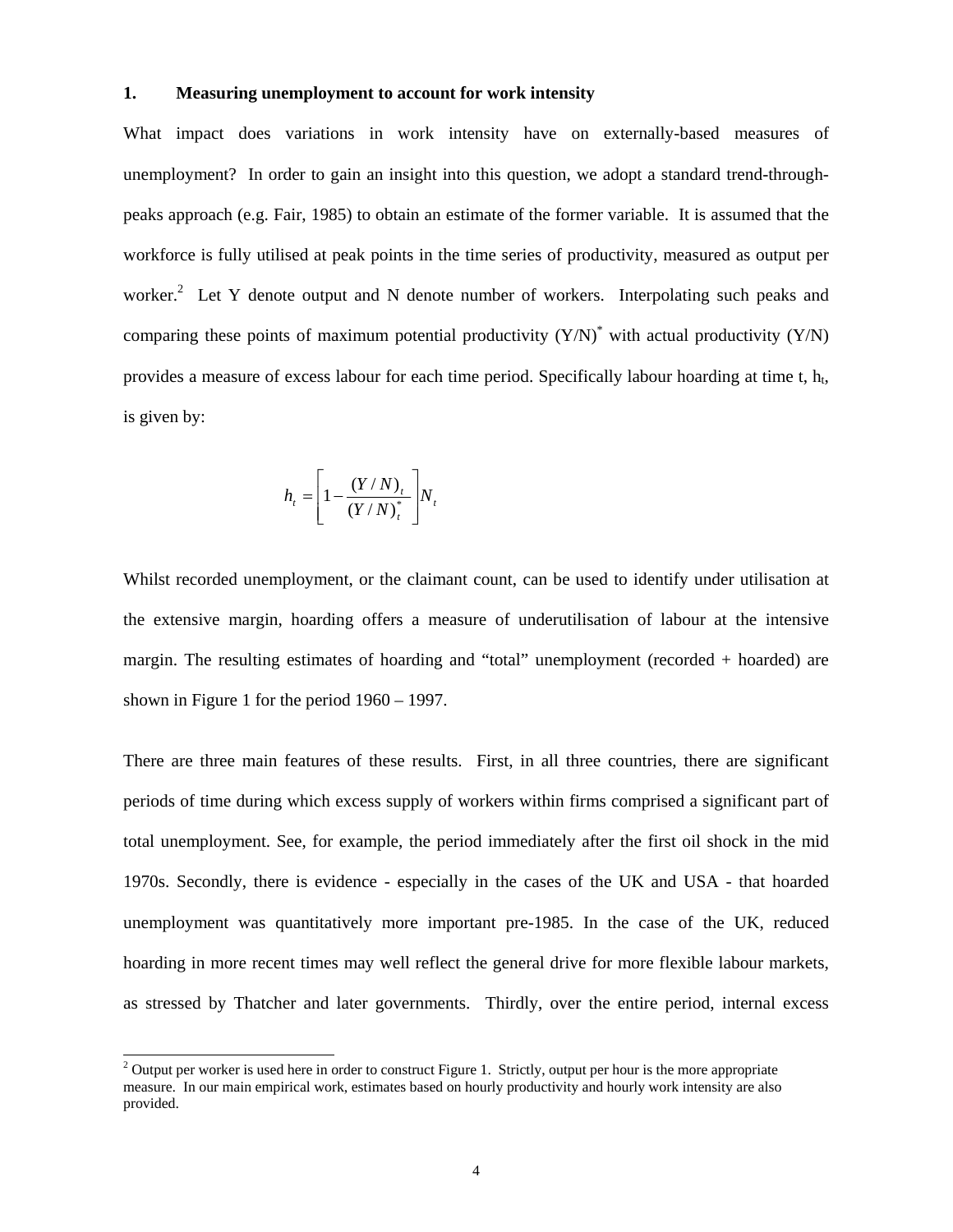## **1. Measuring unemployment to account for work intensity**

What impact does variations in work intensity have on externally-based measures of unemployment? In order to gain an insight into this question, we adopt a standard trend-throughpeaks approach (e.g. Fair, 1985) to obtain an estimate of the former variable. It is assumed that the workforce is fully utilised at peak points in the time series of productivity, measured as output per worker.<sup>2</sup> Let Y denote output and N denote number of workers. Interpolating such peaks and comparing these points of maximum potential productivity  $(Y/N)^*$  with actual productivity  $(Y/N)$ provides a measure of excess labour for each time period. Specifically labour hoarding at time t,  $h_t$ , is given by:

$$
h_{t} = \left[1 - \frac{(Y/N)_{t}}{(Y/N)_{t}^{*}}\right]N_{t}
$$

Whilst recorded unemployment, or the claimant count, can be used to identify under utilisation at the extensive margin, hoarding offers a measure of underutilisation of labour at the intensive margin. The resulting estimates of hoarding and "total" unemployment (recorded + hoarded) are shown in Figure 1 for the period 1960 – 1997.

There are three main features of these results. First, in all three countries, there are significant periods of time during which excess supply of workers within firms comprised a significant part of total unemployment. See, for example, the period immediately after the first oil shock in the mid 1970s. Secondly, there is evidence - especially in the cases of the UK and USA - that hoarded unemployment was quantitatively more important pre-1985. In the case of the UK, reduced hoarding in more recent times may well reflect the general drive for more flexible labour markets, as stressed by Thatcher and later governments. Thirdly, over the entire period, internal excess

l

<sup>&</sup>lt;sup>2</sup> Output per worker is used here in order to construct Figure 1. Strictly, output per hour is the more appropriate measure. In our main empirical work, estimates based on hourly productivity and hourly work intensity are also provided.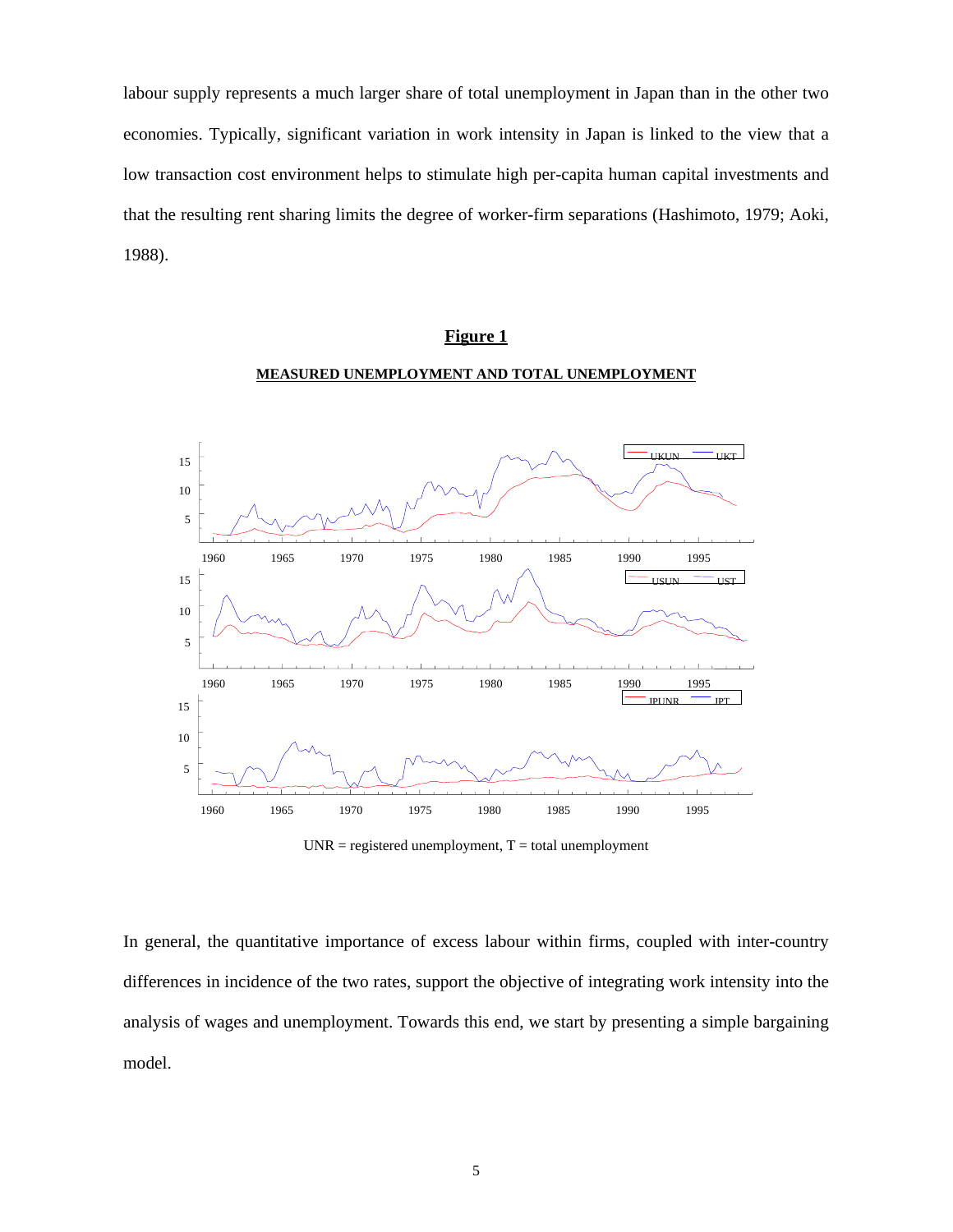labour supply represents a much larger share of total unemployment in Japan than in the other two economies. Typically, significant variation in work intensity in Japan is linked to the view that a low transaction cost environment helps to stimulate high per-capita human capital investments and that the resulting rent sharing limits the degree of worker-firm separations (Hashimoto, 1979; Aoki, 1988).

## **Figure 1**



#### **MEASURED UNEMPLOYMENT AND TOTAL UNEMPLOYMENT**

 $UNR = registered$  unemployment,  $T = total$  unemployment

In general, the quantitative importance of excess labour within firms, coupled with inter-country differences in incidence of the two rates, support the objective of integrating work intensity into the analysis of wages and unemployment. Towards this end, we start by presenting a simple bargaining model.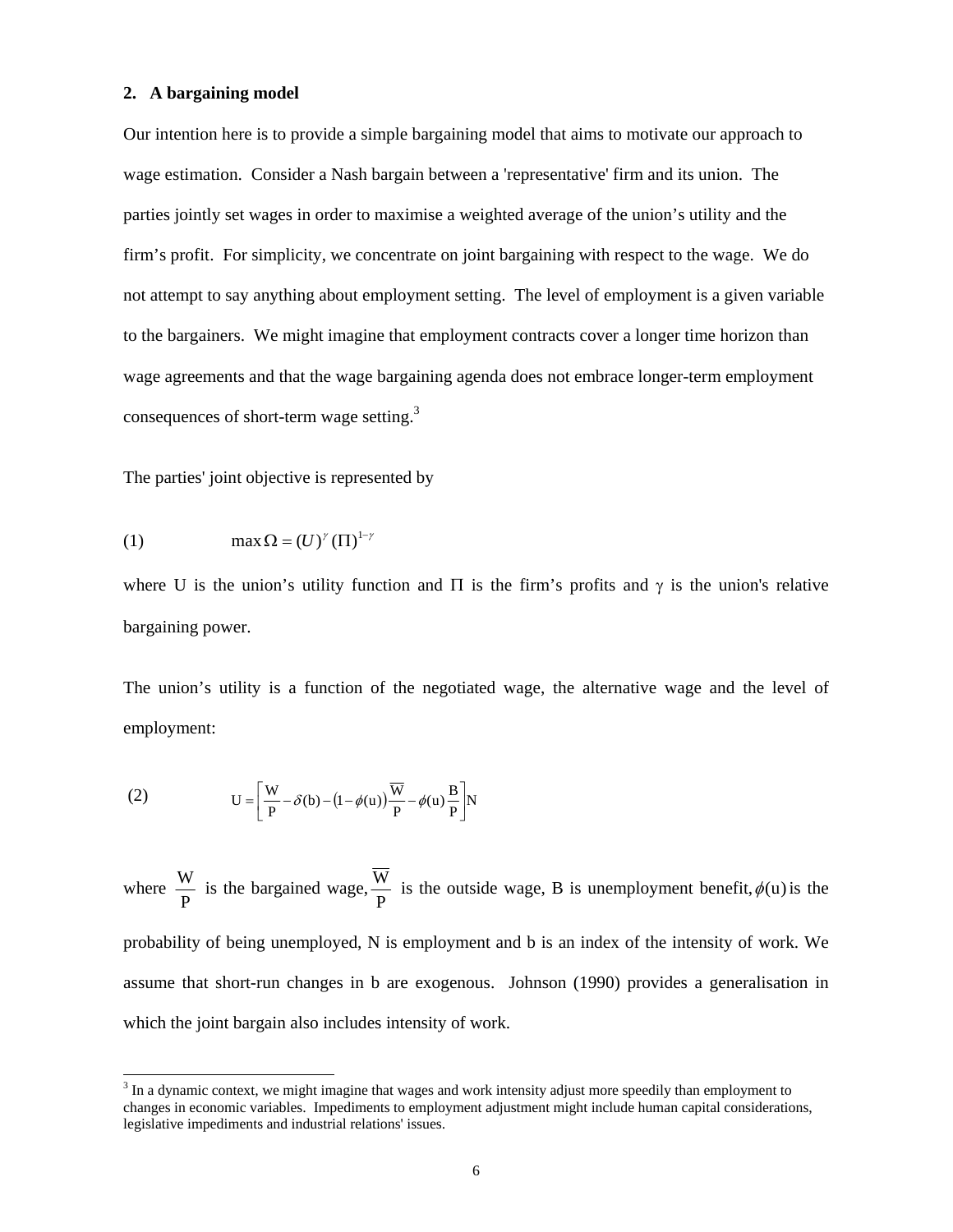## **2. A bargaining model**

Our intention here is to provide a simple bargaining model that aims to motivate our approach to wage estimation. Consider a Nash bargain between a 'representative' firm and its union. The parties jointly set wages in order to maximise a weighted average of the union's utility and the firm's profit. For simplicity, we concentrate on joint bargaining with respect to the wage. We do not attempt to say anything about employment setting. The level of employment is a given variable to the bargainers. We might imagine that employment contracts cover a longer time horizon than wage agreements and that the wage bargaining agenda does not embrace longer-term employment consequences of short-term wage setting.<sup>3</sup>

The parties' joint objective is represented by

(1) 
$$
\max \Omega = (U)^{\gamma} (\Pi)^{1-\gamma}
$$

where U is the union's utility function and  $\Pi$  is the firm's profits and  $\gamma$  is the union's relative bargaining power.

The union's utility is a function of the negotiated wage, the alternative wage and the level of employment:

(2) 
$$
U = \left[\frac{W}{P} - \delta(b) - (1 - \phi(u))\frac{\overline{W}}{P} - \phi(u)\frac{B}{P}\right]N
$$

where W is the bargained wage,  $\frac{\overline{W}}{P}$  is the outside wage, B is unemployment benefit,  $\phi(u)$  is the probability of being unemployed, N is employment and b is an index of the intensity of work. We assume that short-run changes in b are exogenous. Johnson (1990) provides a generalisation in which the joint bargain also includes intensity of work.

<sup>&</sup>lt;sup>3</sup> In a dynamic context, we might imagine that wages and work intensity adjust more speedily than employment to changes in economic variables. Impediments to employment adjustment might include human capital considerations, legislative impediments and industrial relations' issues.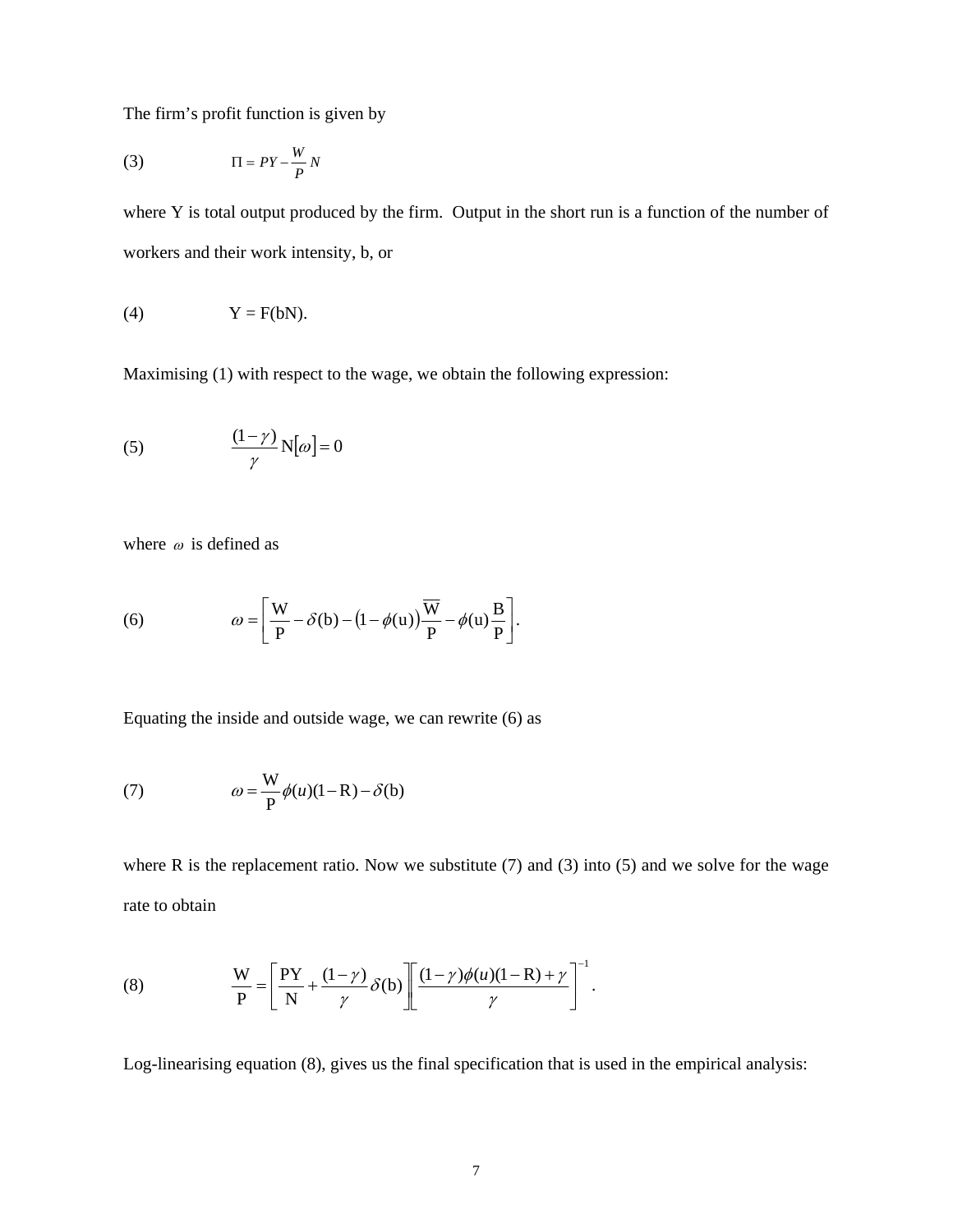The firm's profit function is given by

$$
(3) \t \Pi = PY - \frac{W}{P}N
$$

where Y is total output produced by the firm. Output in the short run is a function of the number of workers and their work intensity, b, or

$$
(4) \tY = F(bN).
$$

Maximising (1) with respect to the wage, we obtain the following expression:

(5) 
$$
\frac{(1-\gamma)}{\gamma} N[\omega] = 0
$$

where  $\omega$  is defined as

(6) 
$$
\omega = \left[ \frac{W}{P} - \delta(b) - (1 - \phi(u)) \frac{\overline{W}}{P} - \phi(u) \frac{B}{P} \right].
$$

Equating the inside and outside wage, we can rewrite (6) as

(7) 
$$
\omega = \frac{W}{P} \phi(u)(1 - R) - \delta(b)
$$

where R is the replacement ratio. Now we substitute  $(7)$  and  $(3)$  into  $(5)$  and we solve for the wage rate to obtain

(8) 
$$
\frac{W}{P} = \left[\frac{PY}{N} + \frac{(1-\gamma)}{\gamma} \delta(b)\right] \left[\frac{(1-\gamma)\phi(u)(1-R) + \gamma}{\gamma}\right]^{-1}.
$$

Log-linearising equation (8), gives us the final specification that is used in the empirical analysis: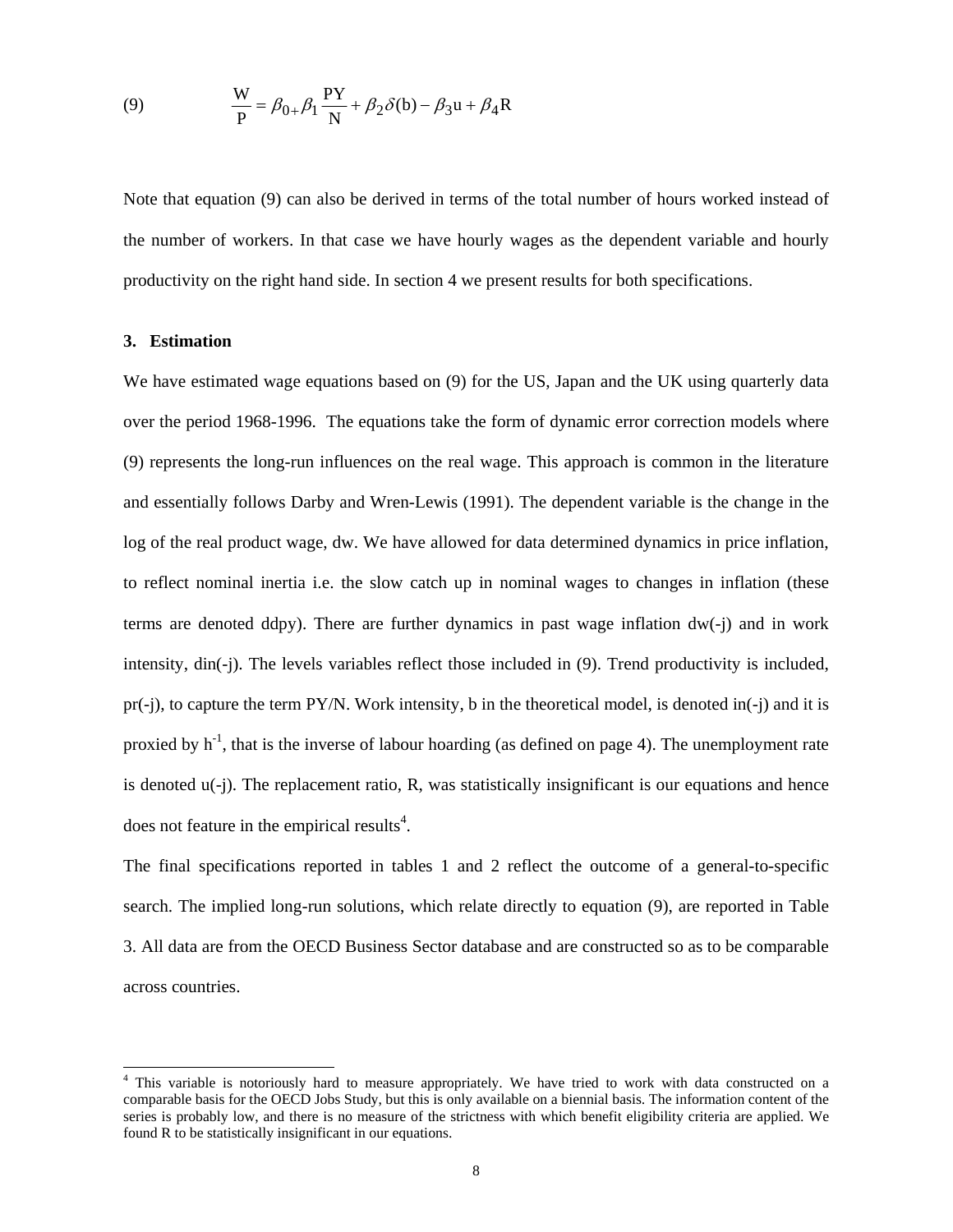(9) 
$$
\frac{W}{P} = \beta_{0+} \beta_1 \frac{PY}{N} + \beta_2 \delta(b) - \beta_3 u + \beta_4 R
$$

Note that equation (9) can also be derived in terms of the total number of hours worked instead of the number of workers. In that case we have hourly wages as the dependent variable and hourly productivity on the right hand side. In section 4 we present results for both specifications.

#### **3. Estimation**

l

We have estimated wage equations based on (9) for the US, Japan and the UK using quarterly data over the period 1968-1996. The equations take the form of dynamic error correction models where (9) represents the long-run influences on the real wage. This approach is common in the literature and essentially follows Darby and Wren-Lewis (1991). The dependent variable is the change in the log of the real product wage, dw. We have allowed for data determined dynamics in price inflation, to reflect nominal inertia i.e. the slow catch up in nominal wages to changes in inflation (these terms are denoted ddpy). There are further dynamics in past wage inflation dw(-j) and in work intensity, din(-j). The levels variables reflect those included in (9). Trend productivity is included,  $pr(-j)$ , to capture the term PY/N. Work intensity, b in the theoretical model, is denoted in $(-j)$  and it is proxied by  $h^{-1}$ , that is the inverse of labour hoarding (as defined on page 4). The unemployment rate is denoted  $u(-j)$ . The replacement ratio, R, was statistically insignificant is our equations and hence does not feature in the empirical results<sup>4</sup>.

The final specifications reported in tables 1 and 2 reflect the outcome of a general-to-specific search. The implied long-run solutions, which relate directly to equation (9), are reported in Table 3. All data are from the OECD Business Sector database and are constructed so as to be comparable across countries.

<sup>&</sup>lt;sup>4</sup> This variable is notoriously hard to measure appropriately. We have tried to work with data constructed on a comparable basis for the OECD Jobs Study, but this is only available on a biennial basis. The information content of the series is probably low, and there is no measure of the strictness with which benefit eligibility criteria are applied. We found R to be statistically insignificant in our equations.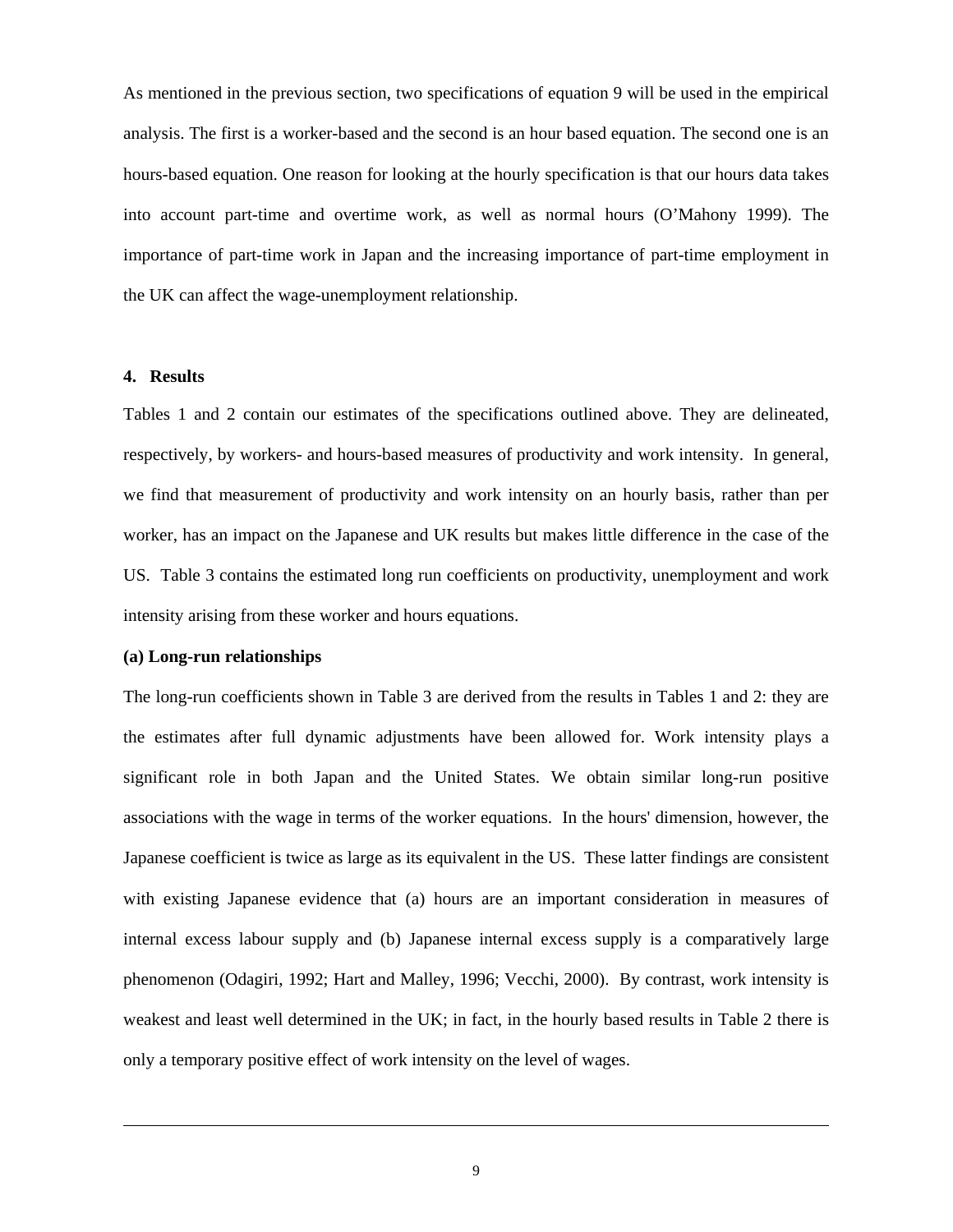As mentioned in the previous section, two specifications of equation 9 will be used in the empirical analysis. The first is a worker-based and the second is an hour based equation. The second one is an hours-based equation. One reason for looking at the hourly specification is that our hours data takes into account part-time and overtime work, as well as normal hours (O'Mahony 1999). The importance of part-time work in Japan and the increasing importance of part-time employment in the UK can affect the wage-unemployment relationship.

## **4. Results**

 $\overline{a}$ 

Tables 1 and 2 contain our estimates of the specifications outlined above. They are delineated, respectively, by workers- and hours-based measures of productivity and work intensity. In general, we find that measurement of productivity and work intensity on an hourly basis, rather than per worker, has an impact on the Japanese and UK results but makes little difference in the case of the US. Table 3 contains the estimated long run coefficients on productivity, unemployment and work intensity arising from these worker and hours equations.

#### **(a) Long-run relationships**

The long-run coefficients shown in Table 3 are derived from the results in Tables 1 and 2: they are the estimates after full dynamic adjustments have been allowed for. Work intensity plays a significant role in both Japan and the United States. We obtain similar long-run positive associations with the wage in terms of the worker equations. In the hours' dimension, however, the Japanese coefficient is twice as large as its equivalent in the US. These latter findings are consistent with existing Japanese evidence that (a) hours are an important consideration in measures of internal excess labour supply and (b) Japanese internal excess supply is a comparatively large phenomenon (Odagiri, 1992; Hart and Malley, 1996; Vecchi, 2000). By contrast, work intensity is weakest and least well determined in the UK; in fact, in the hourly based results in Table 2 there is only a temporary positive effect of work intensity on the level of wages.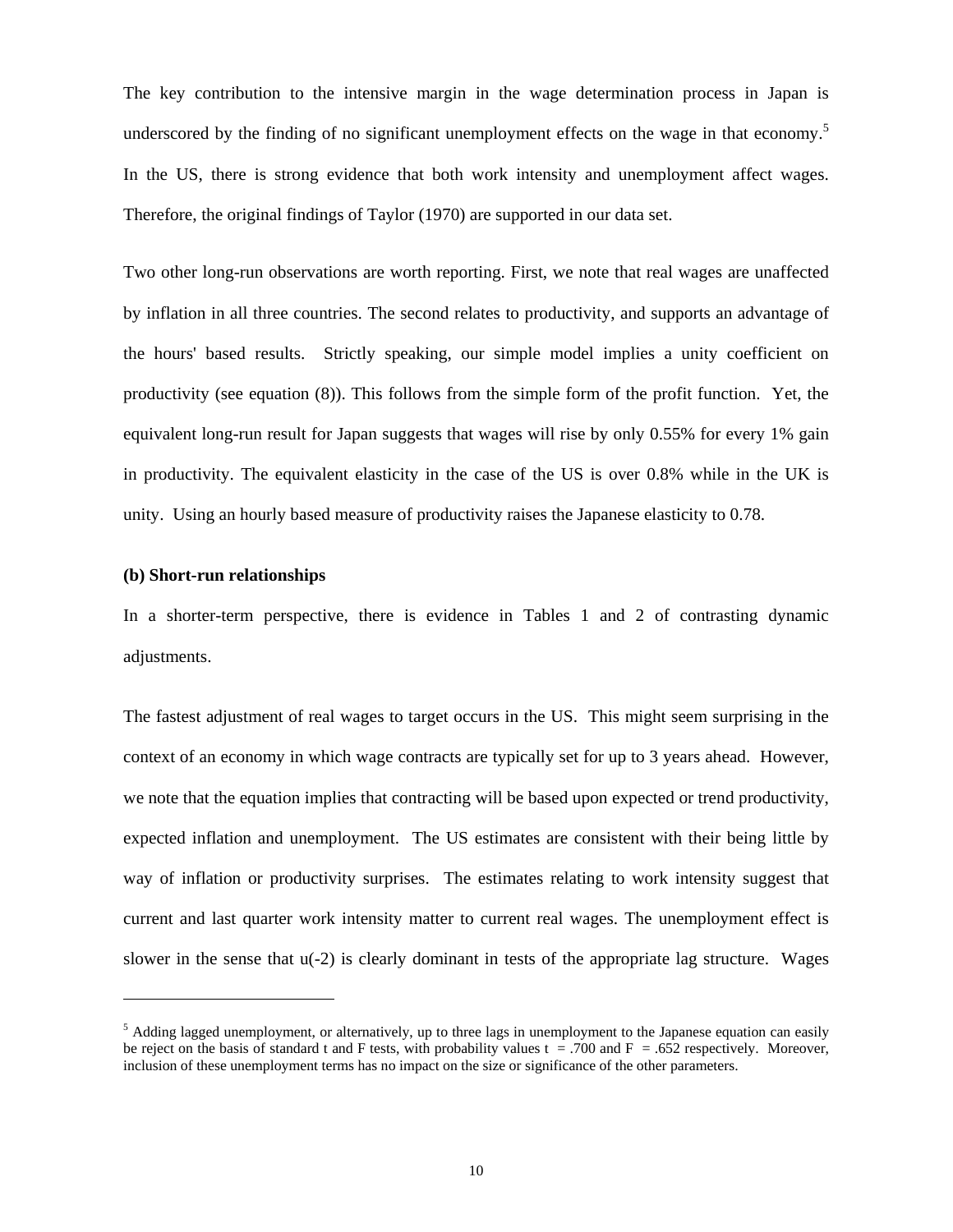The key contribution to the intensive margin in the wage determination process in Japan is underscored by the finding of no significant unemployment effects on the wage in that economy.<sup>5</sup> In the US, there is strong evidence that both work intensity and unemployment affect wages. Therefore, the original findings of Taylor (1970) are supported in our data set.

Two other long-run observations are worth reporting. First, we note that real wages are unaffected by inflation in all three countries. The second relates to productivity, and supports an advantage of the hours' based results. Strictly speaking, our simple model implies a unity coefficient on productivity (see equation (8)). This follows from the simple form of the profit function. Yet, the equivalent long-run result for Japan suggests that wages will rise by only 0.55% for every 1% gain in productivity. The equivalent elasticity in the case of the US is over 0.8% while in the UK is unity. Using an hourly based measure of productivity raises the Japanese elasticity to 0.78.

#### **(b) Short-run relationships**

l

In a shorter-term perspective, there is evidence in Tables 1 and 2 of contrasting dynamic adjustments.

The fastest adjustment of real wages to target occurs in the US. This might seem surprising in the context of an economy in which wage contracts are typically set for up to 3 years ahead. However, we note that the equation implies that contracting will be based upon expected or trend productivity, expected inflation and unemployment. The US estimates are consistent with their being little by way of inflation or productivity surprises. The estimates relating to work intensity suggest that current and last quarter work intensity matter to current real wages. The unemployment effect is slower in the sense that  $u(-2)$  is clearly dominant in tests of the appropriate lag structure. Wages

 $<sup>5</sup>$  Adding lagged unemployment, or alternatively, up to three lags in unemployment to the Japanese equation can easily</sup> be reject on the basis of standard t and F tests, with probability values  $t = .700$  and  $F = .652$  respectively. Moreover, inclusion of these unemployment terms has no impact on the size or significance of the other parameters.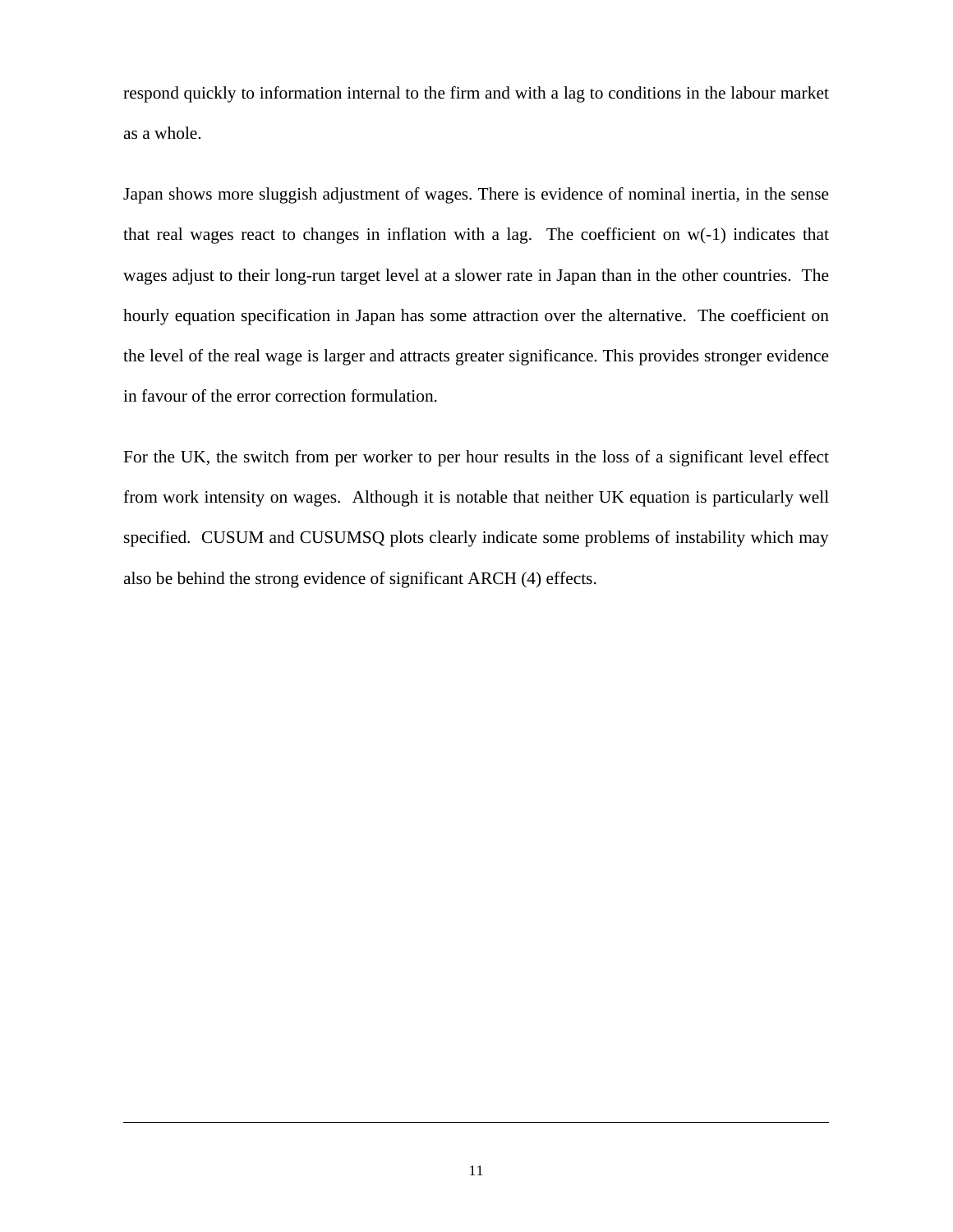respond quickly to information internal to the firm and with a lag to conditions in the labour market as a whole.

Japan shows more sluggish adjustment of wages. There is evidence of nominal inertia, in the sense that real wages react to changes in inflation with a lag. The coefficient on w(-1) indicates that wages adjust to their long-run target level at a slower rate in Japan than in the other countries. The hourly equation specification in Japan has some attraction over the alternative. The coefficient on the level of the real wage is larger and attracts greater significance. This provides stronger evidence in favour of the error correction formulation.

For the UK, the switch from per worker to per hour results in the loss of a significant level effect from work intensity on wages. Although it is notable that neither UK equation is particularly well specified. CUSUM and CUSUMSQ plots clearly indicate some problems of instability which may also be behind the strong evidence of significant ARCH (4) effects.

l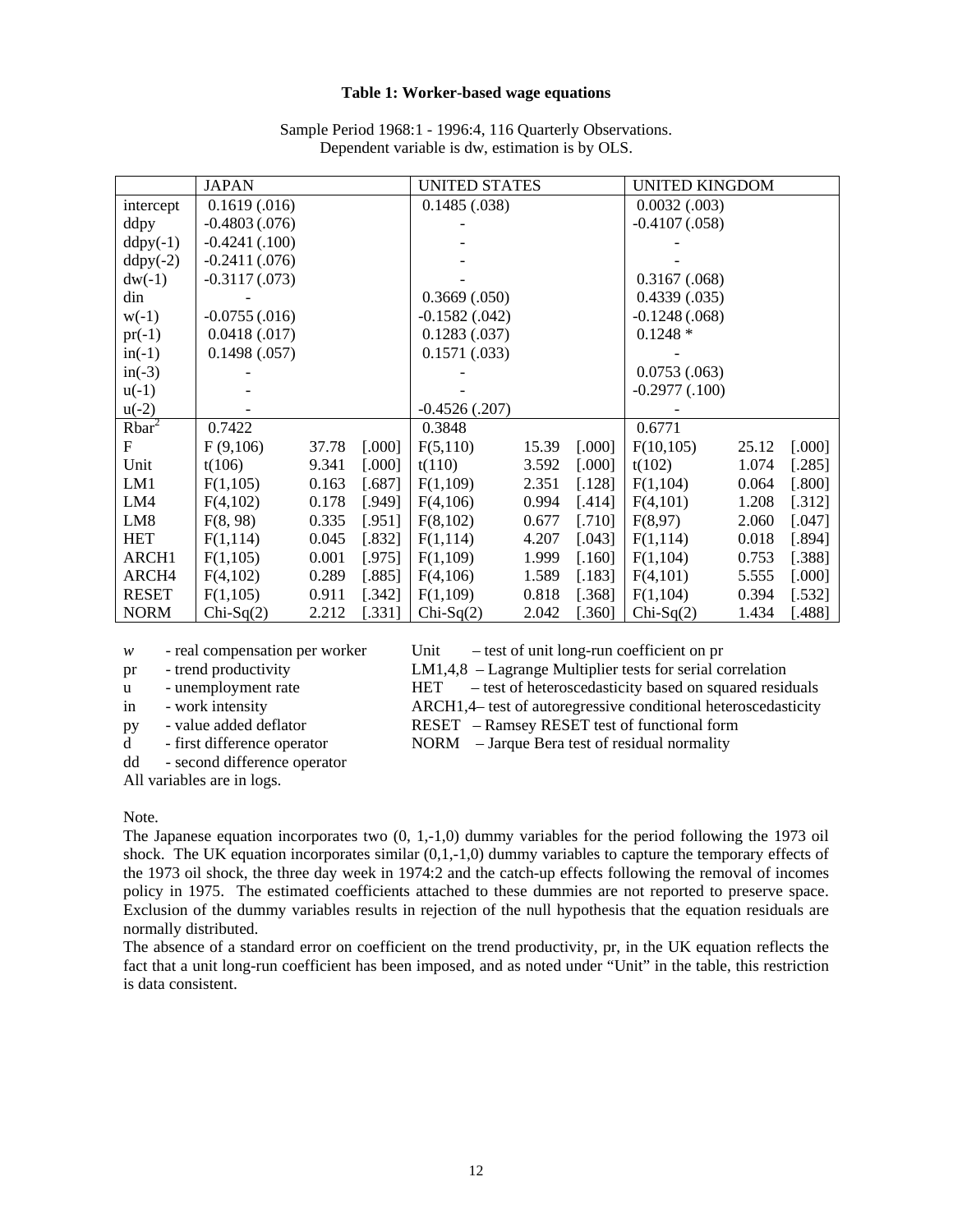#### **Table 1: Worker-based wage equations**

|                   | <b>JAPAN</b>     |       |        | <b>UNITED STATES</b> |       |        | <b>UNITED KINGDOM</b> |       |          |
|-------------------|------------------|-------|--------|----------------------|-------|--------|-----------------------|-------|----------|
| intercept         | 0.1619(0.016)    |       |        | 0.1485(.038)         |       |        | $0.0032$ $(.003)$     |       |          |
| ddpy              | $-0.4803(.076)$  |       |        |                      |       |        | $-0.4107(.058)$       |       |          |
| $\text{ddpy}(-1)$ | $-0.4241(0.100)$ |       |        |                      |       |        |                       |       |          |
| $\text{ddpy}(-2)$ | $-0.2411(.076)$  |       |        |                      |       |        |                       |       |          |
| $dw(-1)$          | $-0.3117(0.073)$ |       |        |                      |       |        | $0.3167$ $(.068)$     |       |          |
| din               |                  |       |        | $0.3669$ $(.050)$    |       |        | 0.4339(0.035)         |       |          |
| $w(-1)$           | $-0.0755(.016)$  |       |        | $-0.1582(.042)$      |       |        | $-0.1248(.068)$       |       |          |
| $pr(-1)$          | 0.0418(.017)     |       |        | 0.1283(0.037)        |       |        | $0.1248*$             |       |          |
| $in(-1)$          | 0.1498(.057)     |       |        | 0.1571(0.033)        |       |        |                       |       |          |
| $in(-3)$          |                  |       |        |                      |       |        | 0.0753(0.063)         |       |          |
| $u(-1)$           |                  |       |        |                      |       |        | $-0.2977$ $(.100)$    |       |          |
| $u(-2)$           |                  |       |        | $-0.4526(.207)$      |       |        |                       |       |          |
| $Rbar^2$          | 0.7422           |       |        | 0.3848               |       |        | 0.6771                |       |          |
| $\mathbf F$       | F(9,106)         | 37.78 | [.000] | F(5,110)             | 15.39 | [.000] | F(10,105)             | 25.12 | [.000]   |
| Unit              | t(106)           | 9.341 | [.000] | t(110)               | 3.592 | [.000] | t(102)                | 1.074 | $[.285]$ |
| LM1               | F(1,105)         | 0.163 | [.687] | F(1,109)             | 2.351 | [.128] | F(1,104)              | 0.064 | [.800]   |
| LM4               | F(4,102)         | 0.178 | [.949] | F(4,106)             | 0.994 | [.414] | F(4,101)              | 1.208 | [.312]   |
| LM8               | F(8, 98)         | 0.335 | [.951] | F(8,102)             | 0.677 | [.710] | F(8,97)               | 2.060 | [.047]   |
| <b>HET</b>        | F(1,114)         | 0.045 | [.832] | F(1,114)             | 4.207 | [.043] | F(1,114)              | 0.018 | [.894]   |
| ARCH1             | F(1,105)         | 0.001 | [.975] | F(1,109)             | 1.999 | [.160] | F(1,104)              | 0.753 | [.388]   |
| ARCH4             | F(4,102)         | 0.289 | [.885] | F(4,106)             | 1.589 | [.183] | F(4,101)              | 5.555 | [.000]   |
| <b>RESET</b>      | F(1,105)         | 0.911 | [.342] | F(1,109)             | 0.818 | [.368] | F(1,104)              | 0.394 | [.532]   |
| <b>NORM</b>       | $Chi-Sq(2)$      | 2.212 | [.331] | $Chi-Sq(2)$          | 2.042 | [.360] | $Chi-Sq(2)$           | 1.434 | [.488]   |

Sample Period 1968:1 - 1996:4, 116 Quarterly Observations. Dependent variable is dw, estimation is by OLS.

*w* - real compensation per worker Unit – test of unit long-run coefficient on pr

pr - trend productivity LM1,4,8 – Lagrange Multiplier tests for serial correlation

u - unemployment rate HET – test of heteroscedasticity based on squared residuals

- in work intensity ARCH1,4– test of autoregressive conditional heteroscedasticity
- py value added deflator RESET Ramsey RESET test of functional form
- d first difference operator NORM Jarque Bera test of residual normality
- dd second difference operator

All variables are in logs.

Note.

The Japanese equation incorporates two  $(0, 1, -1, 0)$  dummy variables for the period following the 1973 oil shock. The UK equation incorporates similar (0,1,-1,0) dummy variables to capture the temporary effects of the 1973 oil shock, the three day week in 1974:2 and the catch-up effects following the removal of incomes policy in 1975. The estimated coefficients attached to these dummies are not reported to preserve space. Exclusion of the dummy variables results in rejection of the null hypothesis that the equation residuals are normally distributed.

The absence of a standard error on coefficient on the trend productivity, pr, in the UK equation reflects the fact that a unit long-run coefficient has been imposed, and as noted under "Unit" in the table, this restriction is data consistent.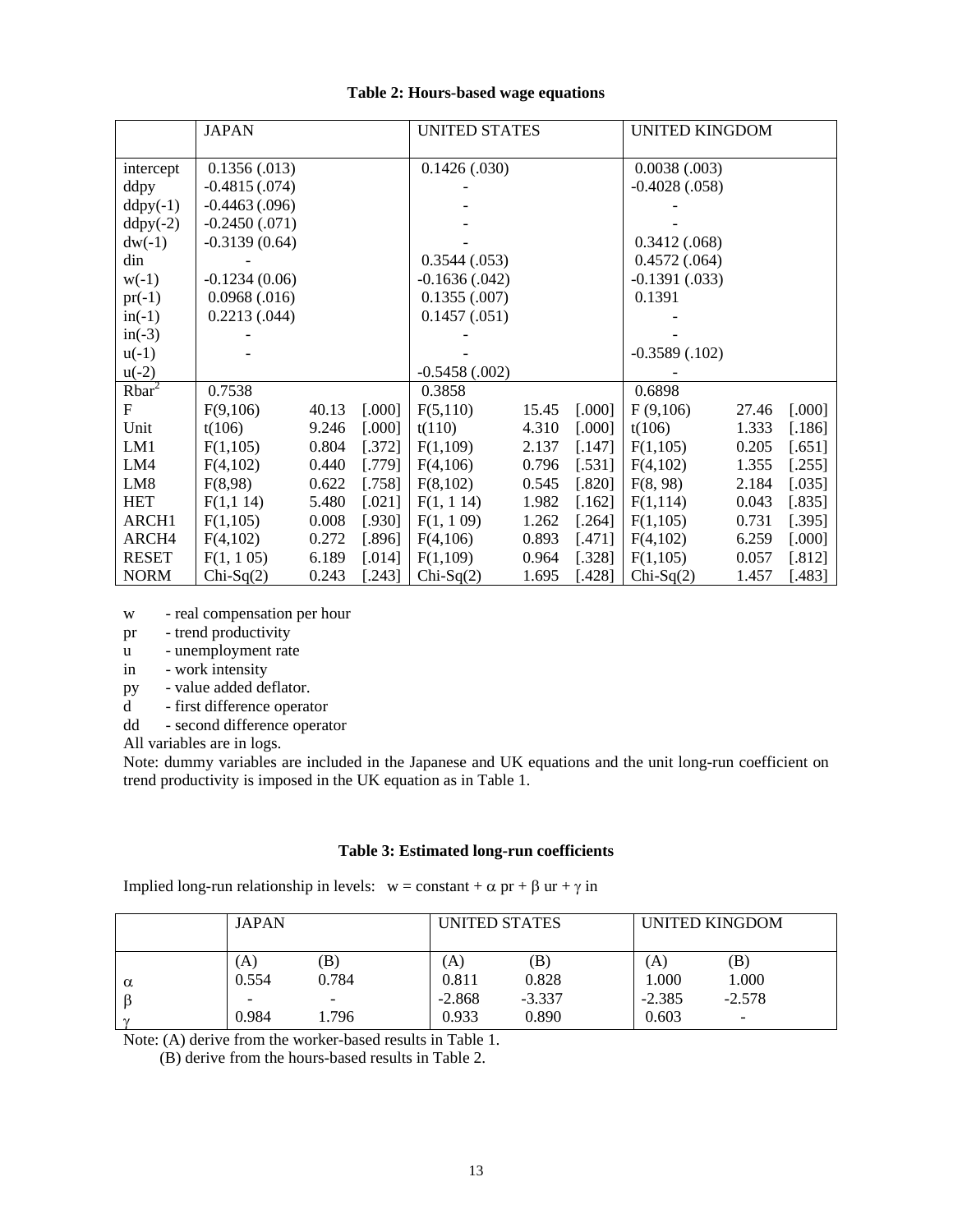#### **Table 2: Hours-based wage equations**

|                   | <b>JAPAN</b>     |       |        | <b>UNITED STATES</b> |       |        | <b>UNITED KINGDOM</b> |       |          |
|-------------------|------------------|-------|--------|----------------------|-------|--------|-----------------------|-------|----------|
| intercept         | 0.1356(.013)     |       |        | 0.1426(0.030)        |       |        | 0.0038(.003)          |       |          |
| ddpy              | $-0.4815(.074)$  |       |        |                      |       |        | $-0.4028(.058)$       |       |          |
| $ddpy(-1)$        | $-0.4463(0.096)$ |       |        |                      |       |        |                       |       |          |
| $\text{ddpy}(-2)$ | $-0.2450(.071)$  |       |        |                      |       |        |                       |       |          |
| $dw(-1)$          | $-0.3139(0.64)$  |       |        |                      |       |        | 0.3412(0.068)         |       |          |
| din               |                  |       |        | $0.3544$ $(.053)$    |       |        | 0.4572(0.064)         |       |          |
| $w(-1)$           | $-0.1234(0.06)$  |       |        | $-0.1636(.042)$      |       |        | $-0.1391(.033)$       |       |          |
| $pr(-1)$          | 0.0968(.016)     |       |        | 0.1355(.007)         |       |        | 0.1391                |       |          |
| $in(-1)$          | 0.2213(0.044)    |       |        | 0.1457(.051)         |       |        |                       |       |          |
| $in(-3)$          |                  |       |        |                      |       |        |                       |       |          |
| $u(-1)$           |                  |       |        |                      |       |        | $-0.3589(.102)$       |       |          |
| $u(-2)$           |                  |       |        | $-0.5458(.002)$      |       |        |                       |       |          |
| Rbar <sup>2</sup> | 0.7538           |       |        | 0.3858               |       |        | 0.6898                |       |          |
| F                 | F(9,106)         | 40.13 | [.000] | F(5,110)             | 15.45 | [.000] | F(9,106)              | 27.46 | [.000]   |
| Unit              | t(106)           | 9.246 | [.000] | t(110)               | 4.310 | [.000] | t(106)                | 1.333 | $[.186]$ |
| LM1               | F(1,105)         | 0.804 | [.372] | F(1,109)             | 2.137 | [.147] | F(1,105)              | 0.205 | [.651]   |
| LM4               | F(4,102)         | 0.440 | [.779] | F(4,106)             | 0.796 | [.531] | F(4,102)              | 1.355 | $[.255]$ |
| LM8               | F(8,98)          | 0.622 | [.758] | F(8,102)             | 0.545 | [.820] | F(8, 98)              | 2.184 | [.035]   |
| <b>HET</b>        | F(1,114)         | 5.480 | [.021] | F(1, 114)            | 1.982 | [.162] | F(1,114)              | 0.043 | [.835]   |
| ARCH1             | F(1,105)         | 0.008 | [.930] | F(1, 109)            | 1.262 | [.264] | F(1,105)              | 0.731 | [.395]   |
| ARCH4             | F(4,102)         | 0.272 | [.896] | F(4,106)             | 0.893 | [.471] | F(4,102)              | 6.259 | [.000]   |
| <b>RESET</b>      | F(1, 105)        | 6.189 | [.014] | F(1,109)             | 0.964 | [.328] | F(1,105)              | 0.057 | [.812]   |
| <b>NORM</b>       | Chi- $Sq(2)$     | 0.243 | [.243] | $Chi-Sq(2)$          | 1.695 | [.428] | $Chi-Sq(2)$           | 1.457 | [.483]   |

w - real compensation per hour

pr - trend productivity

u - unemployment rate

in - work intensity

py - value added deflator.

d - first difference operator

dd - second difference operator

All variables are in logs.

Note: dummy variables are included in the Japanese and UK equations and the unit long-run coefficient on trend productivity is imposed in the UK equation as in Table 1.

#### **Table 3: Estimated long-run coefficients**

Implied long-run relationship in levels:  $w = constant + \alpha pr + \beta ur + \gamma in$ 

|          | <b>JAPAN</b>         |                                                  | <b>UNITED STATES</b>            |                                   | UNITED KINGDOM                                           |                               |  |
|----------|----------------------|--------------------------------------------------|---------------------------------|-----------------------------------|----------------------------------------------------------|-------------------------------|--|
| $\alpha$ | A)<br>0.554<br>0.984 | (B)<br>0.784<br>$\overline{\phantom{0}}$<br>.796 | A<br>0.811<br>$-2.868$<br>0.933 | (B)<br>0.828<br>$-3.337$<br>0.890 | $\left[ \mathbf{A}\right]$<br>1.000<br>$-2.385$<br>0.603 | (B)<br>1.000<br>$-2.578$<br>- |  |

Note: (A) derive from the worker-based results in Table 1.

(B) derive from the hours-based results in Table 2.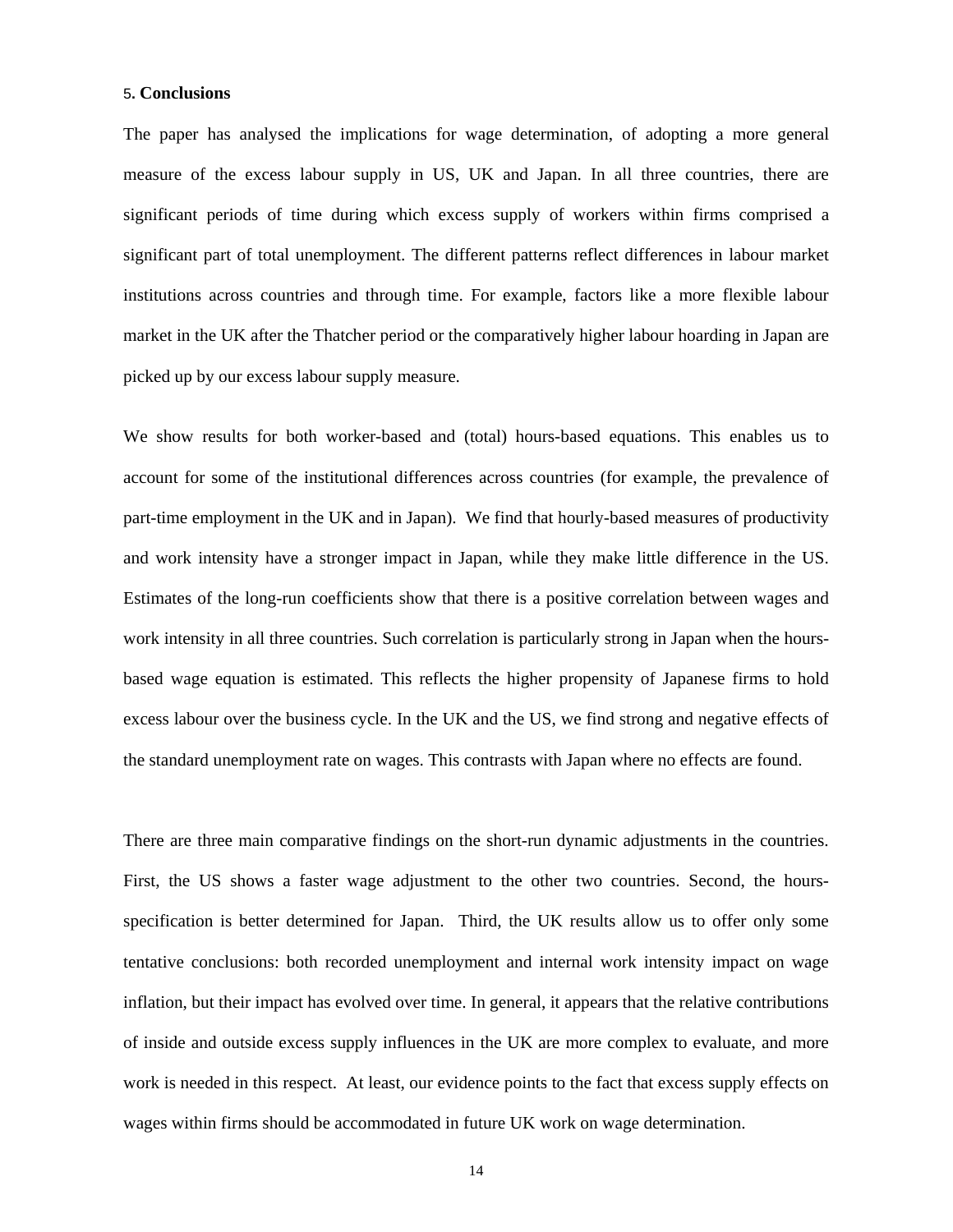## 5**. Conclusions**

The paper has analysed the implications for wage determination, of adopting a more general measure of the excess labour supply in US, UK and Japan. In all three countries, there are significant periods of time during which excess supply of workers within firms comprised a significant part of total unemployment. The different patterns reflect differences in labour market institutions across countries and through time. For example, factors like a more flexible labour market in the UK after the Thatcher period or the comparatively higher labour hoarding in Japan are picked up by our excess labour supply measure.

We show results for both worker-based and (total) hours-based equations. This enables us to account for some of the institutional differences across countries (for example, the prevalence of part-time employment in the UK and in Japan). We find that hourly-based measures of productivity and work intensity have a stronger impact in Japan, while they make little difference in the US. Estimates of the long-run coefficients show that there is a positive correlation between wages and work intensity in all three countries. Such correlation is particularly strong in Japan when the hoursbased wage equation is estimated. This reflects the higher propensity of Japanese firms to hold excess labour over the business cycle. In the UK and the US, we find strong and negative effects of the standard unemployment rate on wages. This contrasts with Japan where no effects are found.

There are three main comparative findings on the short-run dynamic adjustments in the countries. First, the US shows a faster wage adjustment to the other two countries. Second, the hoursspecification is better determined for Japan. Third, the UK results allow us to offer only some tentative conclusions: both recorded unemployment and internal work intensity impact on wage inflation, but their impact has evolved over time. In general, it appears that the relative contributions of inside and outside excess supply influences in the UK are more complex to evaluate, and more work is needed in this respect. At least, our evidence points to the fact that excess supply effects on wages within firms should be accommodated in future UK work on wage determination.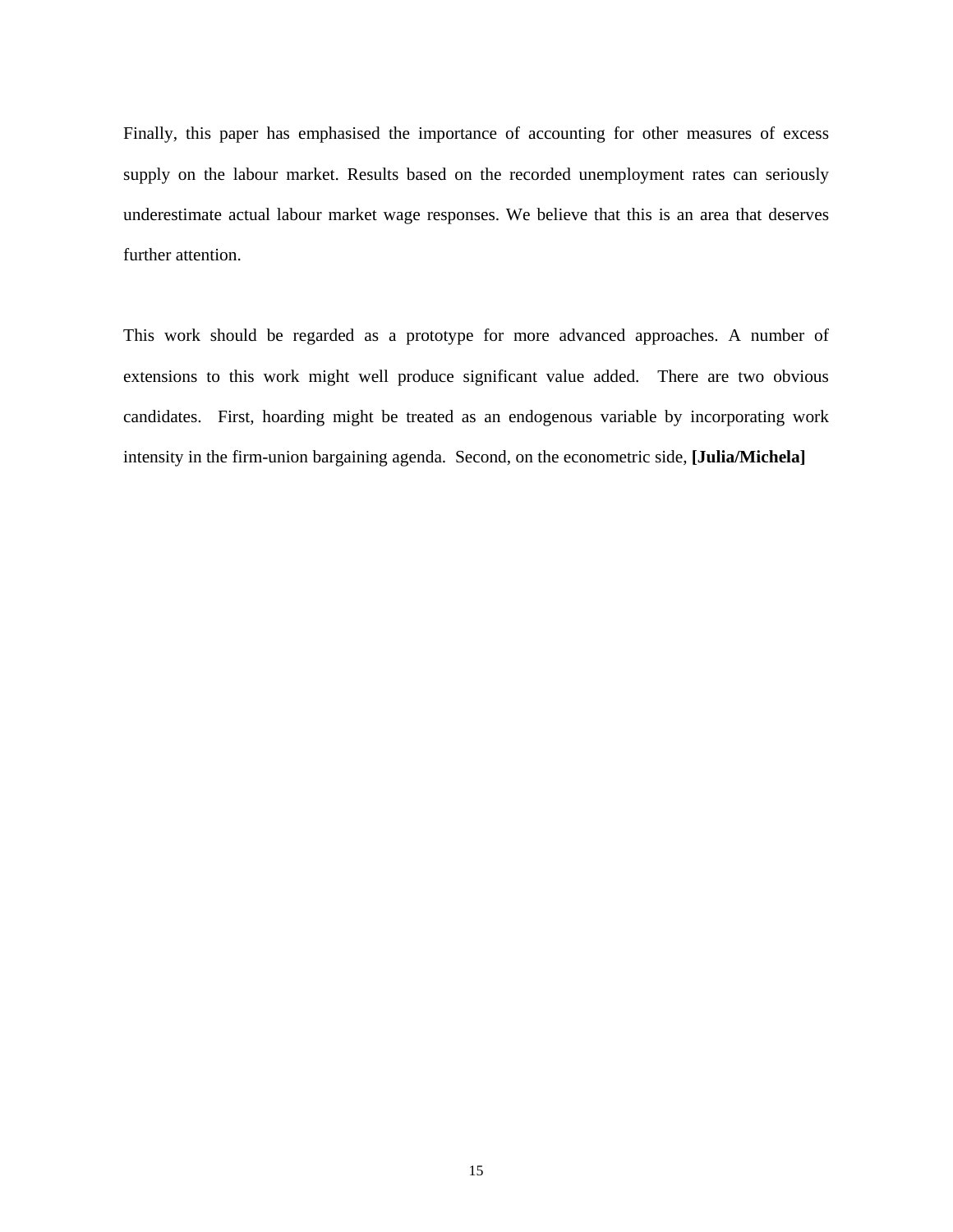Finally, this paper has emphasised the importance of accounting for other measures of excess supply on the labour market. Results based on the recorded unemployment rates can seriously underestimate actual labour market wage responses. We believe that this is an area that deserves further attention.

This work should be regarded as a prototype for more advanced approaches. A number of extensions to this work might well produce significant value added. There are two obvious candidates. First, hoarding might be treated as an endogenous variable by incorporating work intensity in the firm-union bargaining agenda. Second, on the econometric side, **[Julia/Michela]**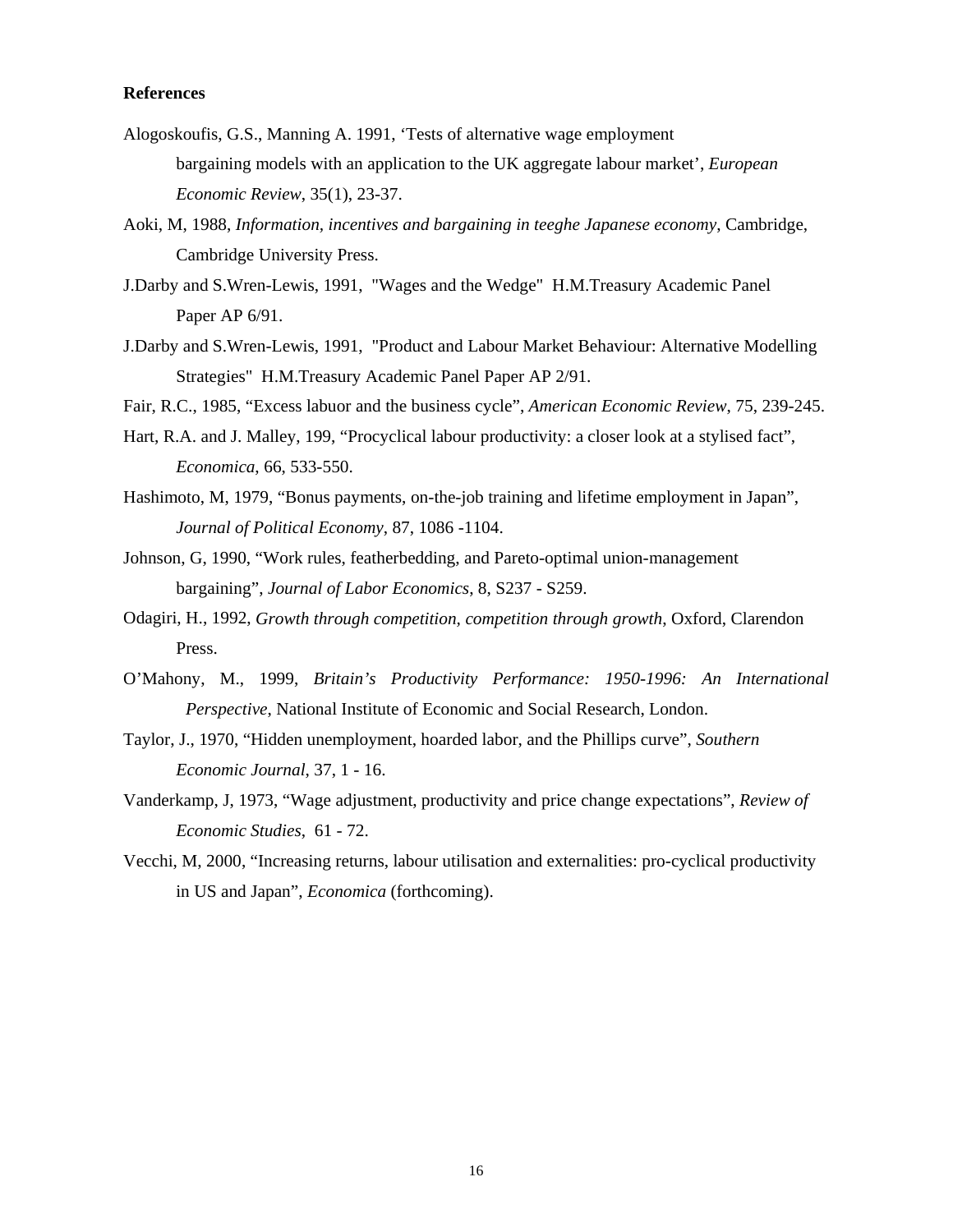## **References**

- Alogoskoufis, G.S., Manning A. 1991, 'Tests of alternative wage employment bargaining models with an application to the UK aggregate labour market', *European Economic Review*, 35(1), 23-37.
- Aoki, M, 1988, *Information, incentives and bargaining in teeghe Japanese economy*, Cambridge, Cambridge University Press.
- J.Darby and S.Wren-Lewis, 1991, "Wages and the Wedge" H.M.Treasury Academic Panel Paper AP 6/91.
- J.Darby and S.Wren-Lewis, 1991, "Product and Labour Market Behaviour: Alternative Modelling Strategies" H.M.Treasury Academic Panel Paper AP 2/91.

Fair, R.C., 1985, "Excess labuor and the business cycle", *American Economic Review*, 75, 239-245.

- Hart, R.A. and J. Malley, 199, "Procyclical labour productivity: a closer look at a stylised fact", *Economica*, 66, 533-550.
- Hashimoto, M, 1979, "Bonus payments, on-the-job training and lifetime employment in Japan", *Journal of Political Economy*, 87, 1086 -1104.
- Johnson, G, 1990, "Work rules, featherbedding, and Pareto-optimal union-management bargaining", *Journal of Labor Economics*, 8, S237 - S259.
- Odagiri, H., 1992, *Growth through competition, competition through growth*, Oxford, Clarendon Press.
- O'Mahony, M., 1999, *Britain's Productivity Performance: 1950-1996: An International Perspective*, National Institute of Economic and Social Research, London.
- Taylor, J., 1970, "Hidden unemployment, hoarded labor, and the Phillips curve", *Southern Economic Journal*, 37, 1 - 16.
- Vanderkamp, J, 1973, "Wage adjustment, productivity and price change expectations", *Review of Economic Studies*, 61 - 72.
- Vecchi, M, 2000, "Increasing returns, labour utilisation and externalities: pro-cyclical productivity in US and Japan", *Economica* (forthcoming).